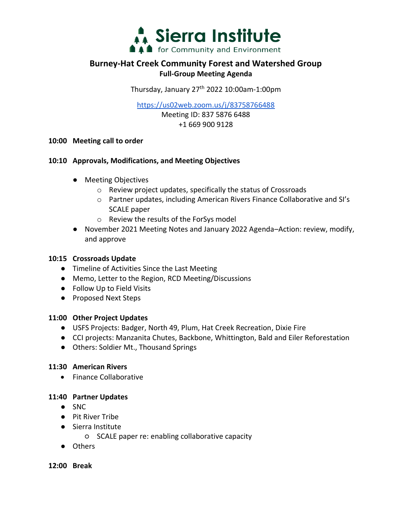

### **Burney-Hat Creek Community Forest and Watershed Group Full-Group Meeting Agenda**

Thursday, January  $27<sup>th</sup>$  2022 10:00am-1:00pm

<https://us02web.zoom.us/j/83758766488>

Meeting ID: 837 5876 6488 +1 669 900 9128

**10:00 Meeting call to order**

#### **10:10 Approvals, Modifications, and Meeting Objectives**

- Meeting Objectives
	- o Review project updates, specifically the status of Crossroads
	- o Partner updates, including American Rivers Finance Collaborative and SI's SCALE paper
	- o Review the results of the ForSys model
- November 2021 Meeting Notes and January 2022 Agenda–Action: review, modify, and approve

#### **10:15 Crossroads Update**

- Timeline of Activities Since the Last Meeting
- Memo, Letter to the Region, RCD Meeting/Discussions
- Follow Up to Field Visits
- Proposed Next Steps

#### **11:00 Other Project Updates**

- USFS Projects: Badger, North 49, Plum, Hat Creek Recreation, Dixie Fire
- CCI projects: Manzanita Chutes, Backbone, Whittington, Bald and Eiler Reforestation
- Others: Soldier Mt., Thousand Springs

#### **11:30 American Rivers**

• Finance Collaborative

#### **11:40 Partner Updates**

- SNC
- Pit River Tribe
- Sierra Institute
	- SCALE paper re: enabling collaborative capacity
- Others

**12:00 Break**